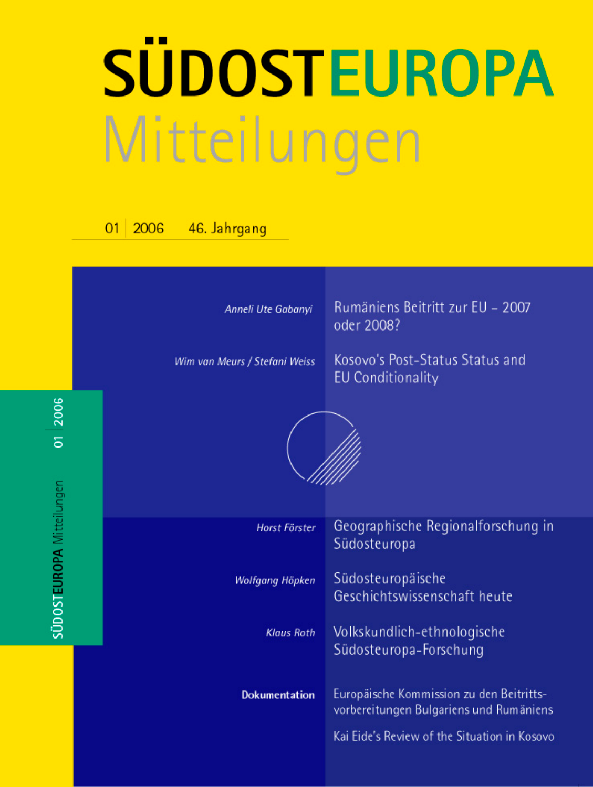# **SÜDOSTEUROPA** Mitteilungen

#### 2006 46. Jahrgang  $O<sub>1</sub>$

01 2006

SÜDOSTEUROPA Mitteilungen

| Anneli Ute Gabanyi<br>Wim van Meurs / Stefani Weiss | Rumäniens Beitritt zur EU - 2007<br>oder 2008?<br>Kosovo's Post-Status Status and<br><b>EU Conditionality</b>                       |
|-----------------------------------------------------|-------------------------------------------------------------------------------------------------------------------------------------|
|                                                     |                                                                                                                                     |
| Horst Förster                                       | Geographische Regionalforschung in<br>Südosteuropa                                                                                  |
| Wolfgang Höpken                                     | Südosteuropäische<br>Geschichtswissenschaft heute                                                                                   |
| <b>Klaus Roth</b>                                   | Volkskundlich-ethnologische<br>Südosteuropa-Forschung                                                                               |
| <b>Dokumentation</b>                                | Europäische Kommission zu den Beitritts-<br>vorbereitungen Bulgariens und Rumäniens<br>Kai Eide's Review of the Situation in Kosovo |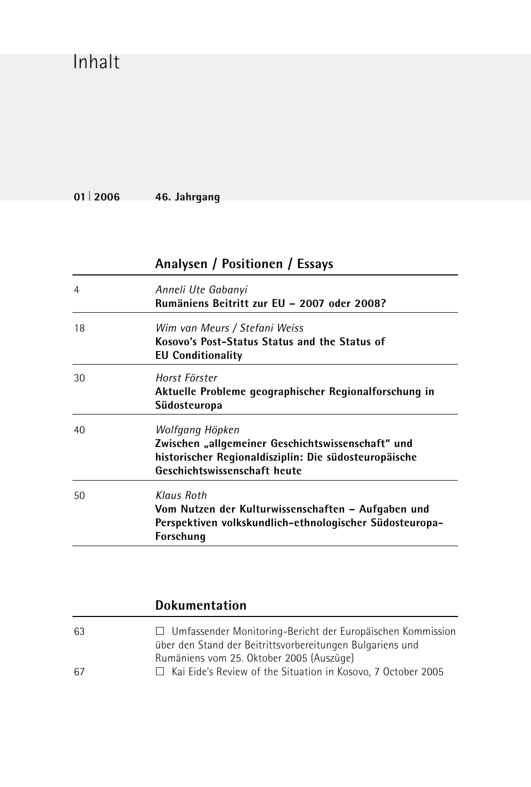## Inhalt

**01 2006 46. Jahrgang**

|    | Analysen / Positionen / Essays                                                                                                                                |  |
|----|---------------------------------------------------------------------------------------------------------------------------------------------------------------|--|
| 4  | Anneli Ute Gabanyi<br>Rumäniens Beitritt zur EU - 2007 oder 2008?                                                                                             |  |
| 18 | Wim van Meurs / Stefani Weiss<br>Kosovo's Post-Status Status and the Status of<br><b>EU Conditionality</b>                                                    |  |
| 30 | Horst Förster<br>Aktuelle Probleme geographischer Regionalforschung in<br>Südosteuropa                                                                        |  |
| 40 | Wolfgang Höpken<br>Zwischen "allgemeiner Geschichtswissenschaft" und<br>historischer Regionaldisziplin: Die südosteuropäische<br>Geschichtswissenschaft heute |  |
| 50 | Klaus Roth<br>Vom Nutzen der Kulturwissenschaften – Aufgaben und<br>Perspektiven volkskundlich-ethnologischer Südosteuropa-<br>Forschung                      |  |

#### **Dokumentation**

| $\Box$ Umfassender Monitoring-Bericht der Europäischen Kommission   |
|---------------------------------------------------------------------|
| über den Stand der Beitrittsvorbereitungen Bulgariens und           |
| Rumäniens vom 25. Oktober 2005 (Auszüge)                            |
| $\Box$ Kai Eide's Review of the Situation in Kosovo. 7 October 2005 |
|                                                                     |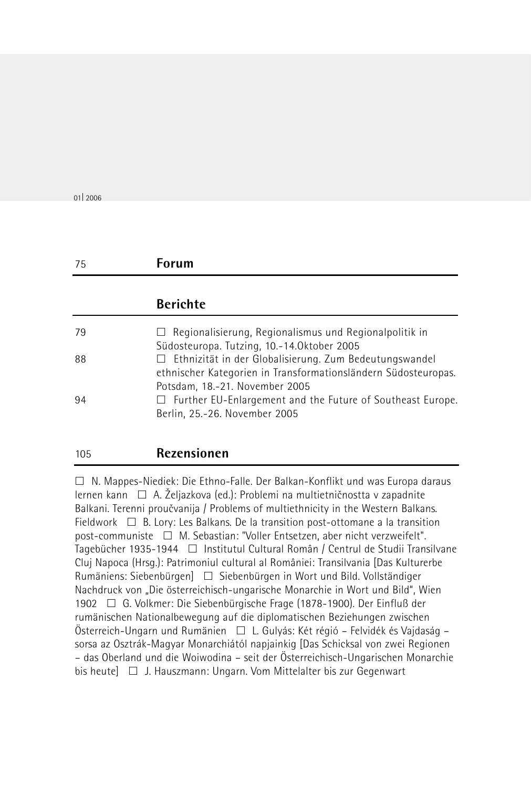01 2006

105 **Rezensionen**

### 75 **Forum Berichte** 79 Regionalisierung, Regionalismus und Regionalpolitik in Südosteuropa. Tutzing, 10.-14.Oktober 2005 88 **Ethnizität in der Globalisierung. Zum Bedeutungswandel** ethnischer Kategorien in Transformationsländern Südosteuropas. Potsdam, 18.-21. November 2005 94 **Example 20** Further EU-Enlargement and the Future of Southeast Europe. Berlin, 25.-26. November 2005

 $\Box$  N. Mappes-Niediek: Die Ethno-Falle. Der Balkan-Konflikt und was Europa daraus lernen kann  $\Box$  A. Željazkova (ed.): Problemi na multietničnostta v zapadnite Balkani. Terenni proučvanija / Problems of multiethnicity in the Western Balkans. Fieldwork  $\Box$  B. Lory: Les Balkans. De la transition post-ottomane a la transition post-communiste  $\Box$  M. Sebastian: "Voller Entsetzen, aber nicht verzweifelt". Tagebücher 1935-1944 □ Institutul Cultural Român / Centrul de Studii Transilvane Cluj Napoca (Hrsg.): Patrimoniul cultural al României: Transilvania [Das Kulturerbe Rumäniens: Siebenbürgen] □ Siebenbürgen in Wort und Bild. Vollständiger Nachdruck von "Die österreichisch-ungarische Monarchie in Wort und Bild", Wien 1902 G. Volkmer: Die Siebenbürgische Frage (1878-1900). Der Einfluß der rumänischen Nationalbewegung auf die diplomatischen Beziehungen zwischen Österreich-Ungarn und Rumänien □ L. Gulyás: Két régió – Felvidék és Vajdaság – sorsa az Osztrák-Magyar Monarchiától napjainkig [Das Schicksal von zwei Regionen – das Oberland und die Woiwodina – seit der Österreichisch-Ungarischen Monarchie bis heute] J. Hauszmann: Ungarn. Vom Mittelalter bis zur Gegenwart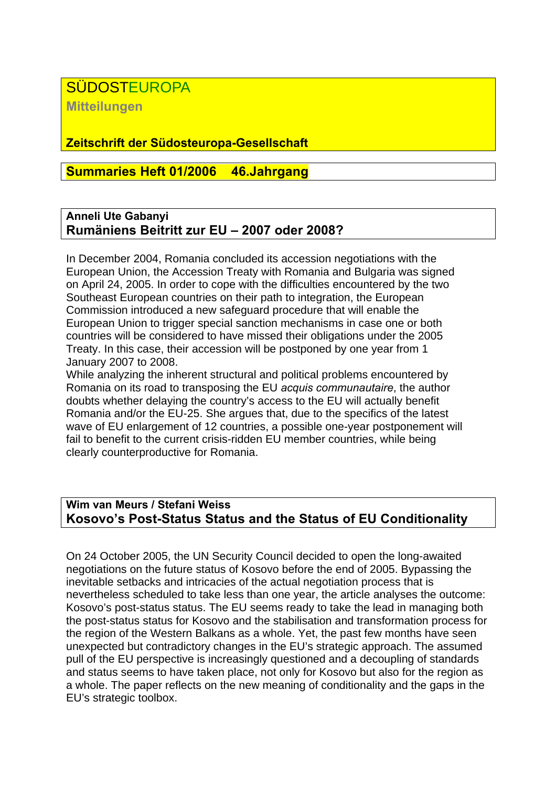#### **SÜDOSTEUROPA**

**Mitteilungen**

#### **Zeitschrift der Südosteuropa-Gesellschaft**

#### **Summaries Heft 01/2006 46.Jahrgang**

#### **Anneli Ute Gabanyi Rumäniens Beitritt zur EU – 2007 oder 2008?**

In December 2004, Romania concluded its accession negotiations with the European Union, the Accession Treaty with Romania and Bulgaria was signed on April 24, 2005. In order to cope with the difficulties encountered by the two Southeast European countries on their path to integration, the European Commission introduced a new safeguard procedure that will enable the European Union to trigger special sanction mechanisms in case one or both countries will be considered to have missed their obligations under the 2005 Treaty. In this case, their accession will be postponed by one year from 1 January 2007 to 2008.

While analyzing the inherent structural and political problems encountered by Romania on its road to transposing the EU *acquis communautaire*, the author doubts whether delaying the country's access to the EU will actually benefit Romania and/or the EU-25. She argues that, due to the specifics of the latest wave of EU enlargement of 12 countries, a possible one-year postponement will fail to benefit to the current crisis-ridden EU member countries, while being clearly counterproductive for Romania.

#### **Wim van Meurs / Stefani Weiss Kosovo's Post-Status Status and the Status of EU Conditionality**

On 24 October 2005, the UN Security Council decided to open the long-awaited negotiations on the future status of Kosovo before the end of 2005. Bypassing the inevitable setbacks and intricacies of the actual negotiation process that is nevertheless scheduled to take less than one year, the article analyses the outcome: Kosovo's post-status status. The EU seems ready to take the lead in managing both the post-status status for Kosovo and the stabilisation and transformation process for the region of the Western Balkans as a whole. Yet, the past few months have seen unexpected but contradictory changes in the EU's strategic approach. The assumed pull of the EU perspective is increasingly questioned and a decoupling of standards and status seems to have taken place, not only for Kosovo but also for the region as a whole. The paper reflects on the new meaning of conditionality and the gaps in the EU's strategic toolbox.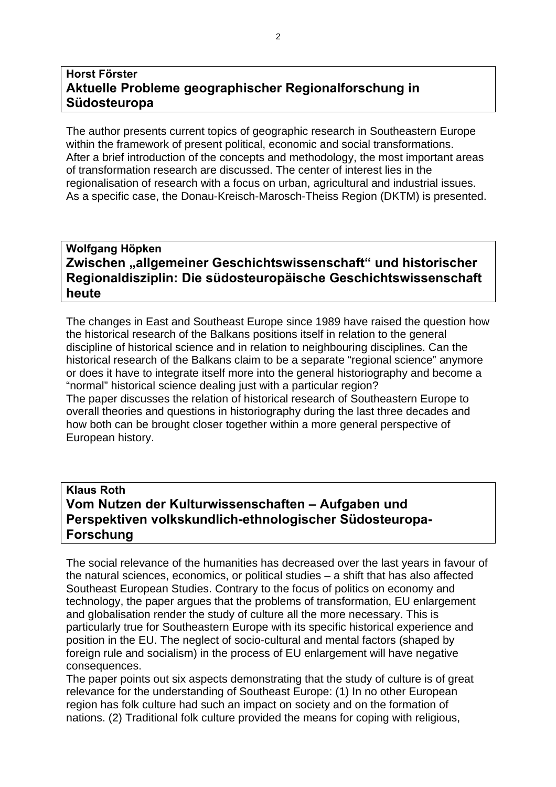#### **Horst Förster Aktuelle Probleme geographischer Regionalforschung in Südosteuropa**

The author presents current topics of geographic research in Southeastern Europe within the framework of present political, economic and social transformations. After a brief introduction of the concepts and methodology, the most important areas of transformation research are discussed. The center of interest lies in the regionalisation of research with a focus on urban, agricultural and industrial issues. As a specific case, the Donau-Kreisch-Marosch-Theiss Region (DKTM) is presented.

#### **Wolfgang Höpken Zwischen "allgemeiner Geschichtswissenschaft" und historischer Regionaldisziplin: Die südosteuropäische Geschichtswissenschaft heute**

The changes in East and Southeast Europe since 1989 have raised the question how the historical research of the Balkans positions itself in relation to the general discipline of historical science and in relation to neighbouring disciplines. Can the historical research of the Balkans claim to be a separate "regional science" anymore or does it have to integrate itself more into the general historiography and become a "normal" historical science dealing just with a particular region? The paper discusses the relation of historical research of Southeastern Europe to overall theories and questions in historiography during the last three decades and how both can be brought closer together within a more general perspective of European history.

#### **Klaus Roth Vom Nutzen der Kulturwissenschaften – Aufgaben und Perspektiven volkskundlich-ethnologischer Südosteuropa-Forschung**

The social relevance of the humanities has decreased over the last years in favour of the natural sciences, economics, or political studies – a shift that has also affected Southeast European Studies. Contrary to the focus of politics on economy and technology, the paper argues that the problems of transformation, EU enlargement and globalisation render the study of culture all the more necessary. This is particularly true for Southeastern Europe with its specific historical experience and position in the EU. The neglect of socio-cultural and mental factors (shaped by foreign rule and socialism) in the process of EU enlargement will have negative consequences.

The paper points out six aspects demonstrating that the study of culture is of great relevance for the understanding of Southeast Europe: (1) In no other European region has folk culture had such an impact on society and on the formation of nations. (2) Traditional folk culture provided the means for coping with religious,